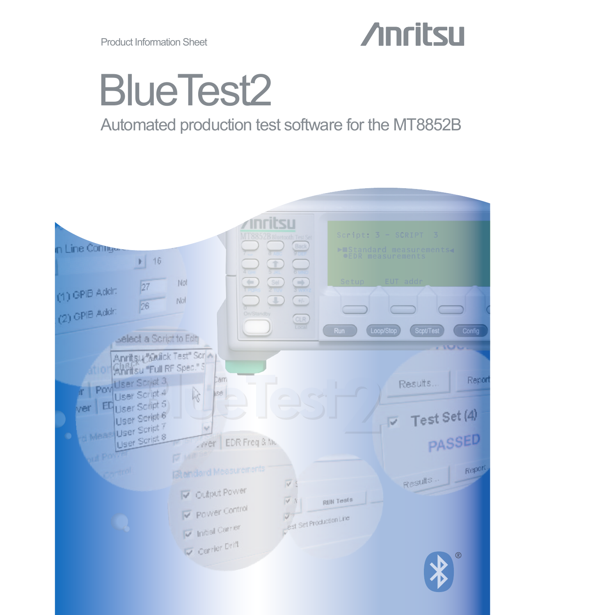Product Information Sheet

## **Anritsu**

# BlueTest2

### Automated production test software for the MT8852B

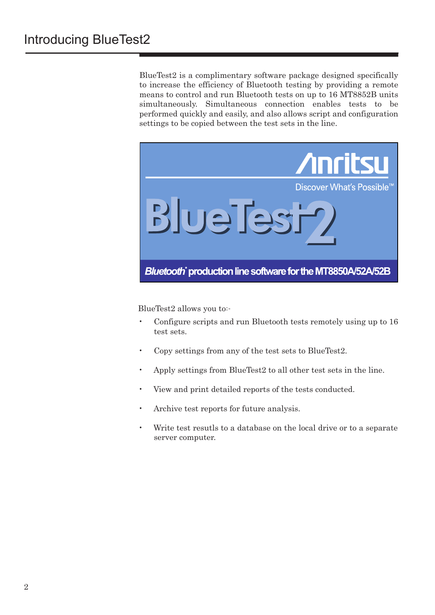BlueTest2 is a complimentary software package designed specifically to increase the efficiency of Bluetooth testing by providing a remote means to control and run Bluetooth tests on up to 16 MT8852B units simultaneously. Simultaneous connection enables tests to be performed quickly and easily, and also allows script and configuration settings to be copied between the test sets in the line.



BlueTest2 allows you to:-

- Configure scripts and run Bluetooth tests remotely using up to 16 test sets. •
- Copy settings from any of the test sets to BlueTest2. •
- Apply settings from BlueTest2 to all other test sets in the line. •
- View and print detailed reports of the tests conducted. •
- Archive test reports for future analysis. •
- Write test resutls to a database on the local drive or to a separate server computer. •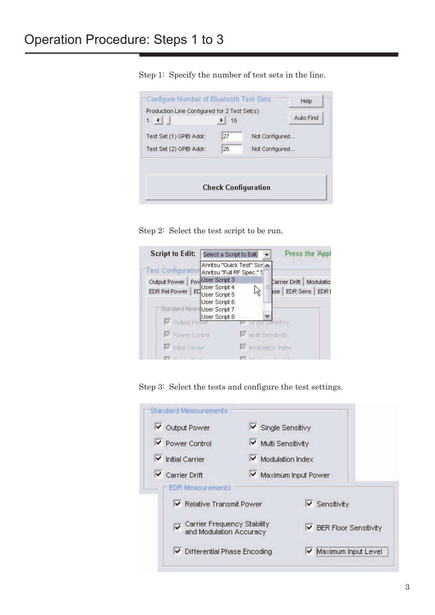Configure Number of Bluetooth Test Sets Help Production Line Configured for 2 Test Set(s) Auto Find  $1$   $1$  $\blacktriangleright$  16  $\overline{27}$ Test Set (1) GPIB Addr: Not Configured... 26 Test Set (2) GPIB Addr: Not Configured... **Check Configuration** 

Step 2: Select the test script to be run.



Step 3: Select the tests and configure the test settings.



Step 1: Specify the number of test sets in the line.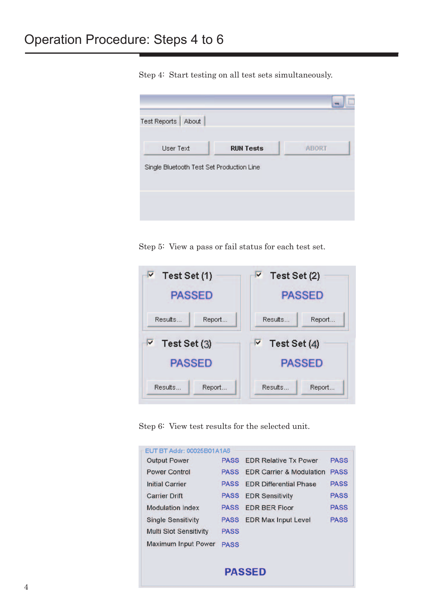۳ Test Reports | About User Text **RUN Tests ABORT** Single Bluetooth Test Set Production Line

Step 4: Start testing on all test sets simultaneously.

Step 5: View a pass or fail status for each test set.



Step 6: View test results for the selected unit.

| EUT BT Addr: 00025B01A1A6     |             |                                     |             |
|-------------------------------|-------------|-------------------------------------|-------------|
| <b>Output Power</b>           | <b>PASS</b> | <b>EDR Relative Tx Power</b>        | <b>PASS</b> |
| <b>Power Control</b>          | <b>PASS</b> | <b>EDR Carrier &amp; Modulation</b> | <b>PASS</b> |
| <b>Initial Carrier</b>        | <b>PASS</b> | <b>FDR Differential Phase</b>       | <b>PASS</b> |
| <b>Carrier Drift</b>          | <b>PASS</b> | <b>EDR Sensitivity</b>              | <b>PASS</b> |
| <b>Modulation Index</b>       | <b>PASS</b> | <b>EDR BER Floor</b>                | <b>PASS</b> |
| <b>Single Sensitivity</b>     | <b>PASS</b> | <b>EDR Max Input Level</b>          | <b>PASS</b> |
| <b>Multi Slot Sensitivity</b> | <b>PASS</b> |                                     |             |
| <b>Maximum Input Power</b>    | <b>PASS</b> |                                     |             |
|                               |             |                                     |             |
|                               |             | <b>PASSED</b>                       |             |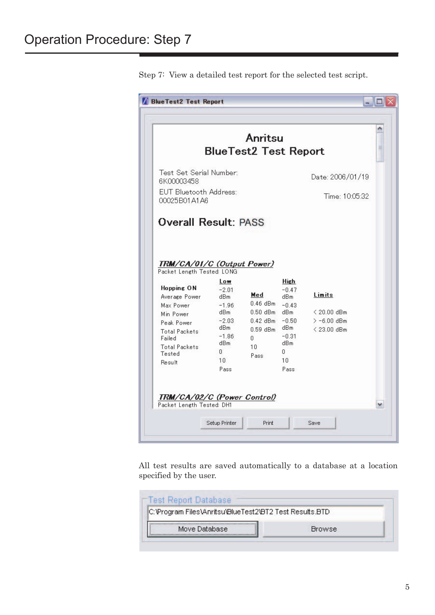|                                                                            |                                                                           | Anritsu<br><b>BlueTest2 Test Report</b>                           |                                                                           |                                                       | ۸<br>≣ |
|----------------------------------------------------------------------------|---------------------------------------------------------------------------|-------------------------------------------------------------------|---------------------------------------------------------------------------|-------------------------------------------------------|--------|
| Test Set Serial Number:<br>6K00003458                                      |                                                                           |                                                                   |                                                                           | Date: 2006/01/19                                      |        |
| EUT Bluetooth Address:<br>00025B01A1A6                                     |                                                                           |                                                                   |                                                                           | Time: 10:05:32                                        |        |
| <b>Hopping ON</b><br>Average Power<br>Max Power<br>Min Power<br>Peak Power | $-2.01$<br>dB <sub>m</sub><br>$-1.96$<br>dBm<br>$-2.03$<br>dBm<br>$-1.86$ | Med<br>$0.46$ dBm<br>$0.50$ dBm<br>$0.42$ dBm<br>$0.59$ dBm<br>0. | $-0.47$<br>dBm<br>$-0.43$<br>dB <sub>m</sub><br>$-0.50$<br>dBm<br>$-0.31$ | Limits<br>< 20.00 dBm<br>$> -6.00$ dBm<br>< 23.00 dBm |        |
| <b>Total Packets</b>                                                       | dBm                                                                       | 10                                                                | dBm<br>Ũ.                                                                 |                                                       |        |
| Failed<br><b>Total Packets</b><br>Tested<br>Result                         | n.<br>10<br>Pass                                                          | Pass                                                              | 10<br>Pass                                                                |                                                       |        |

Step 7: View a detailed test report for the selected test script.

All test results are saved automatically to a database at a location specified by the user.

| C:\Program Files\Anritsu\BlueTest2\BT2 Test Results.BTD |        |
|---------------------------------------------------------|--------|
| Move Database                                           | Browse |